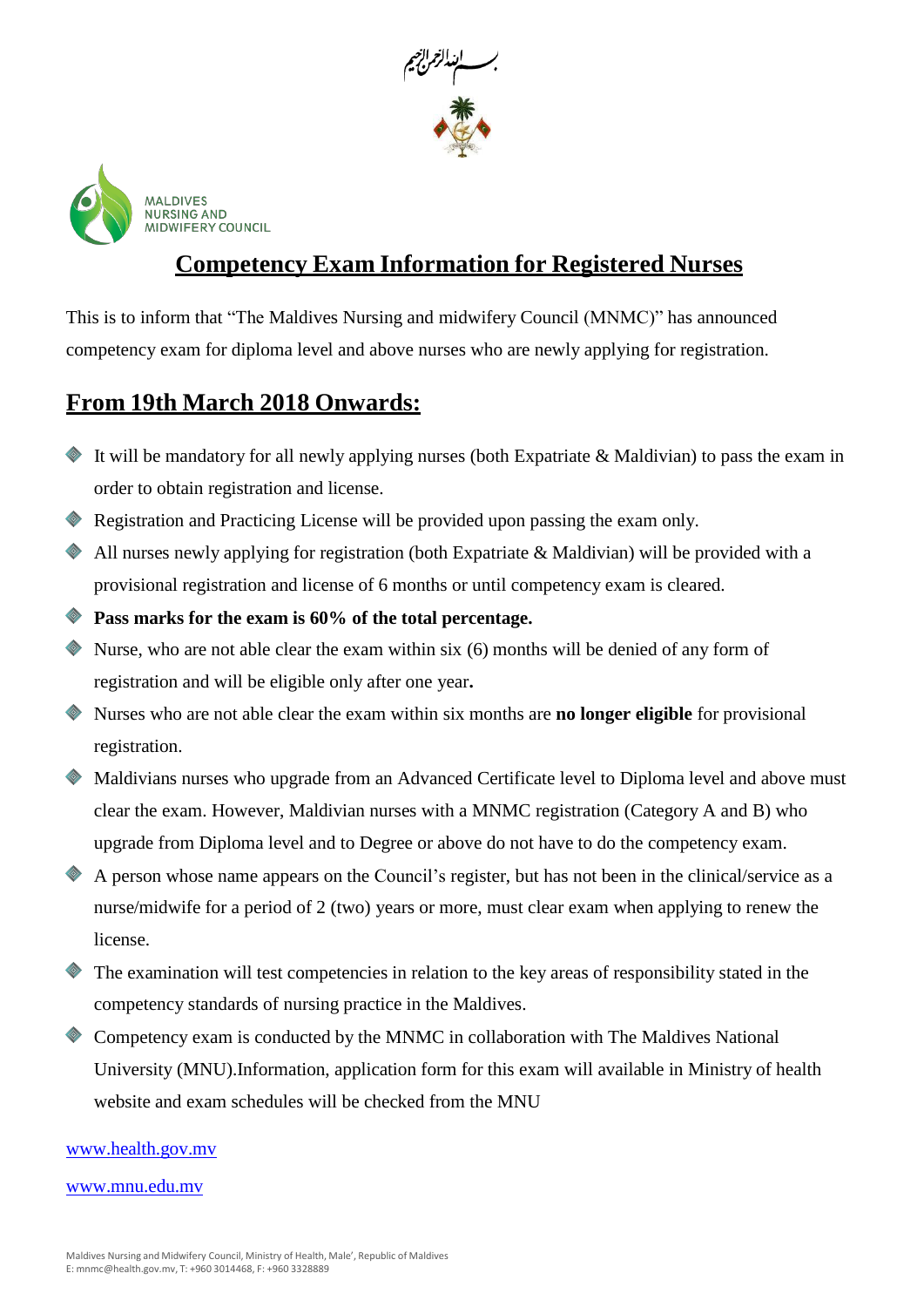



## **Competency Exam Information for Registered Nurses**

This is to inform that "The Maldives Nursing and midwifery Council (MNMC)" has announced competency exam for diploma level and above nurses who are newly applying for registration.

#### **From 19th March 2018 Onwards:**

- It will be mandatory for all newly applying nurses (both Expatriate & Maldivian) to pass the exam in order to obtain registration and license.
- Registration and Practicing License will be provided upon passing the exam only.
- All nurses newly applying for registration (both Expatriate & Maldivian) will be provided with a provisional registration and license of 6 months or until competency exam is cleared.
- **Pass marks for the exam is 60% of the total percentage.**
- Nurse, who are not able clear the exam within six (6) months will be denied of any form of registration and will be eligible only after one year**.**
- Nurses who are not able clear the exam within six months are **no longer eligible** for provisional registration.
- Maldivians nurses who upgrade from an Advanced Certificate level to Diploma level and above must clear the exam. However, Maldivian nurses with a MNMC registration (Category A and B) who upgrade from Diploma level and to Degree or above do not have to do the competency exam.
- A person whose name appears on the Council's register, but has not been in the clinical/service as a nurse/midwife for a period of 2 (two) years or more, must clear exam when applying to renew the license.
- The examination will test competencies in relation to the key areas of responsibility stated in the competency standards of nursing practice in the Maldives.
- Competency exam is conducted by the MNMC in collaboration with The Maldives National University (MNU).Information, application form for this exam will available in Ministry of health website and exam schedules will be checked from the MNU

[www.health.gov.mv](http://www.health.gov.mv/)

#### [www.mnu.edu.mv](http://www.mnu.edu.mv/)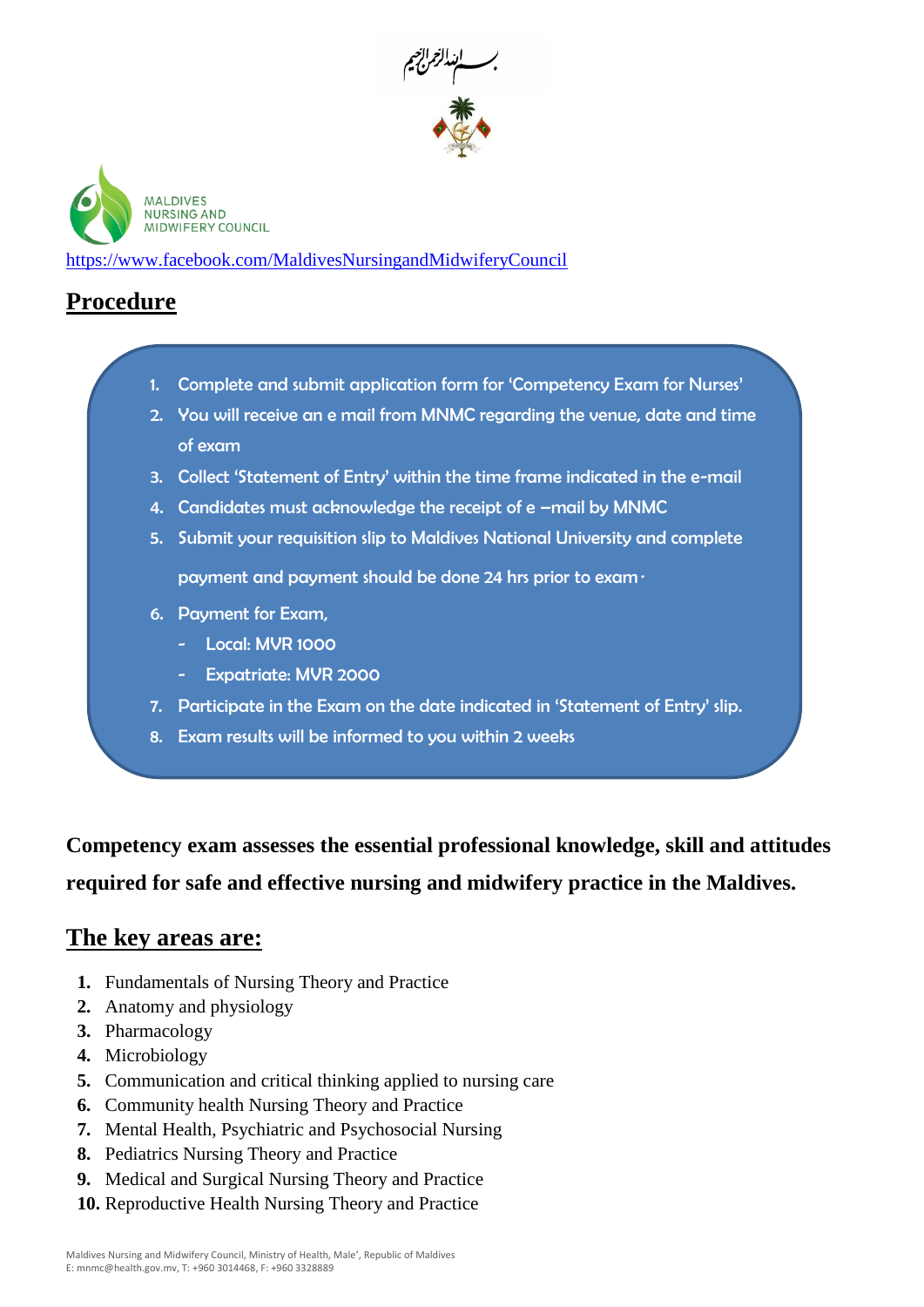



https://www.facebook.com/MaldivesNursingandMidwiferyCouncil

### **Procedure**

- 1. Complete and submit application form for 'Competency Exam for Nurses'
- 2. You will receive an e mail from MNMC regarding the venue, date and time of exam
- 3. Collect 'Statement of Entry' within the time frame indicated in the e-mail
- 4. Candidates must acknowledge the receipt of e -mail by MNMC
- 5. Submit your requisition slip to Maldives National University and complete payment and payment should be done 24 hrs prior to exam*.*
- 6. Payment for Exam,
	- Local: MVR 1000
	- Expatriate: MVR 2000
- 7. Participate in the Exam on the date indicated in 'Statement of Entry' slip.
- 8. Exam results will be informed to you within 2 weeks

**Competency exam assesses the essential professional knowledge, skill and attitudes required for safe and effective nursing and midwifery practice in the Maldives.** 

#### **The key areas are:**

- **1.** Fundamentals of Nursing Theory and Practice
- **2.** Anatomy and physiology
- **3.** Pharmacology
- **4.** Microbiology
- **5.** Communication and critical thinking applied to nursing care
- **6.** Community health Nursing Theory and Practice
- **7.** Mental Health, Psychiatric and Psychosocial Nursing
- **8.** Pediatrics Nursing Theory and Practice
- **9.** Medical and Surgical Nursing Theory and Practice
- **10.** Reproductive Health Nursing Theory and Practice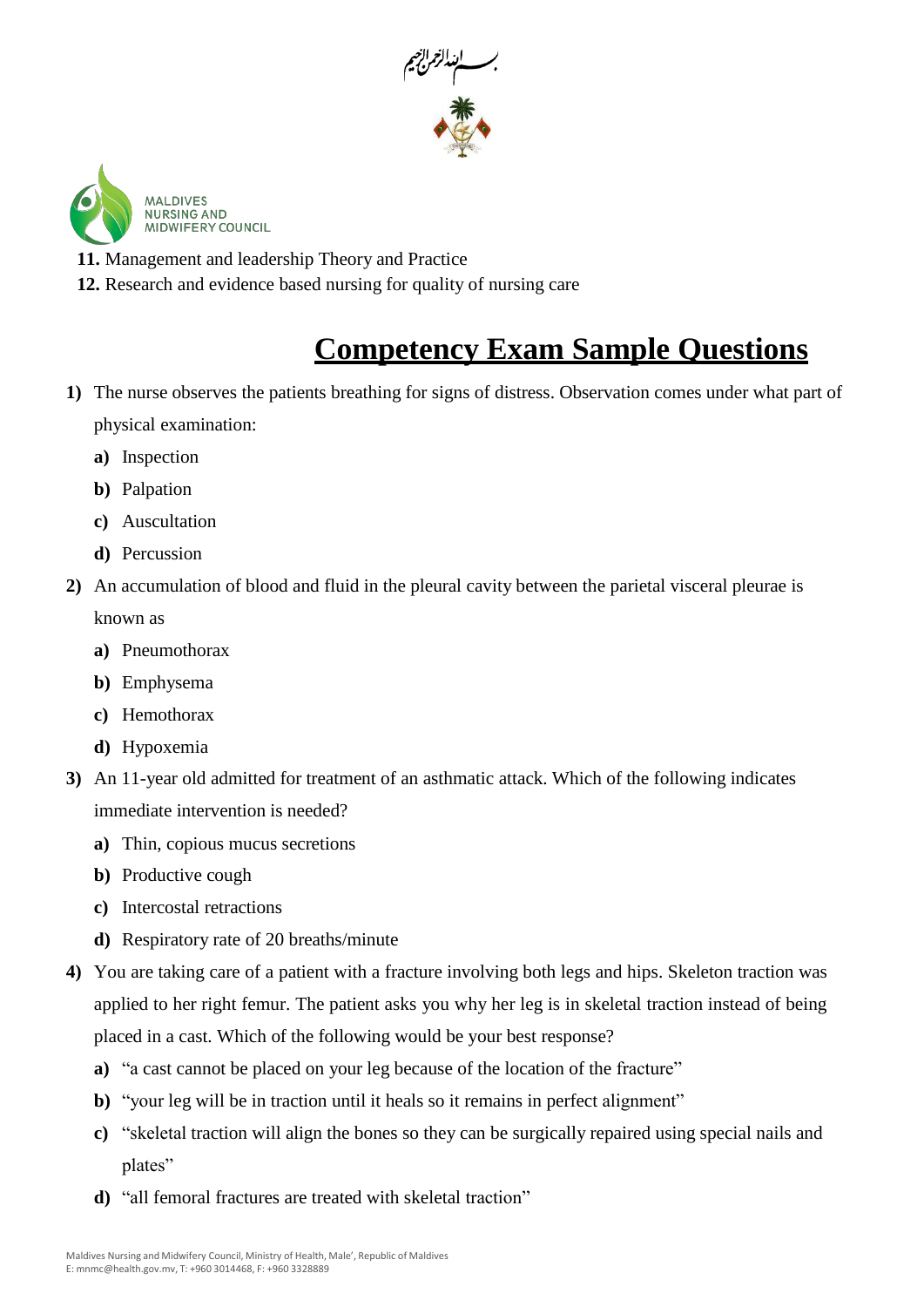



**11.** Management and leadership Theory and Practice

**12.** Research and evidence based nursing for quality of nursing care

# **Competency Exam Sample Questions**

- **1)** The nurse observes the patients breathing for signs of distress. Observation comes under what part of physical examination:
	- **a)** Inspection
	- **b)** Palpation
	- **c)** Auscultation
	- **d)** Percussion
- **2)** An accumulation of blood and fluid in the pleural cavity between the parietal visceral pleurae is known as
	- **a)** Pneumothorax
	- **b)** Emphysema
	- **c)** Hemothorax
	- **d)** Hypoxemia
- **3)** An 11-year old admitted for treatment of an asthmatic attack. Which of the following indicates immediate intervention is needed?
	- **a)** Thin, copious mucus secretions
	- **b)** Productive cough
	- **c)** Intercostal retractions
	- **d)** Respiratory rate of 20 breaths/minute
- **4)** You are taking care of a patient with a fracture involving both legs and hips. Skeleton traction was applied to her right femur. The patient asks you why her leg is in skeletal traction instead of being placed in a cast. Which of the following would be your best response?
	- **a)** "a cast cannot be placed on your leg because of the location of the fracture"
	- **b**) "your leg will be in traction until it heals so it remains in perfect alignment"
	- **c)** "skeletal traction will align the bones so they can be surgically repaired using special nails and plates"
	- **d)** "all femoral fractures are treated with skeletal traction"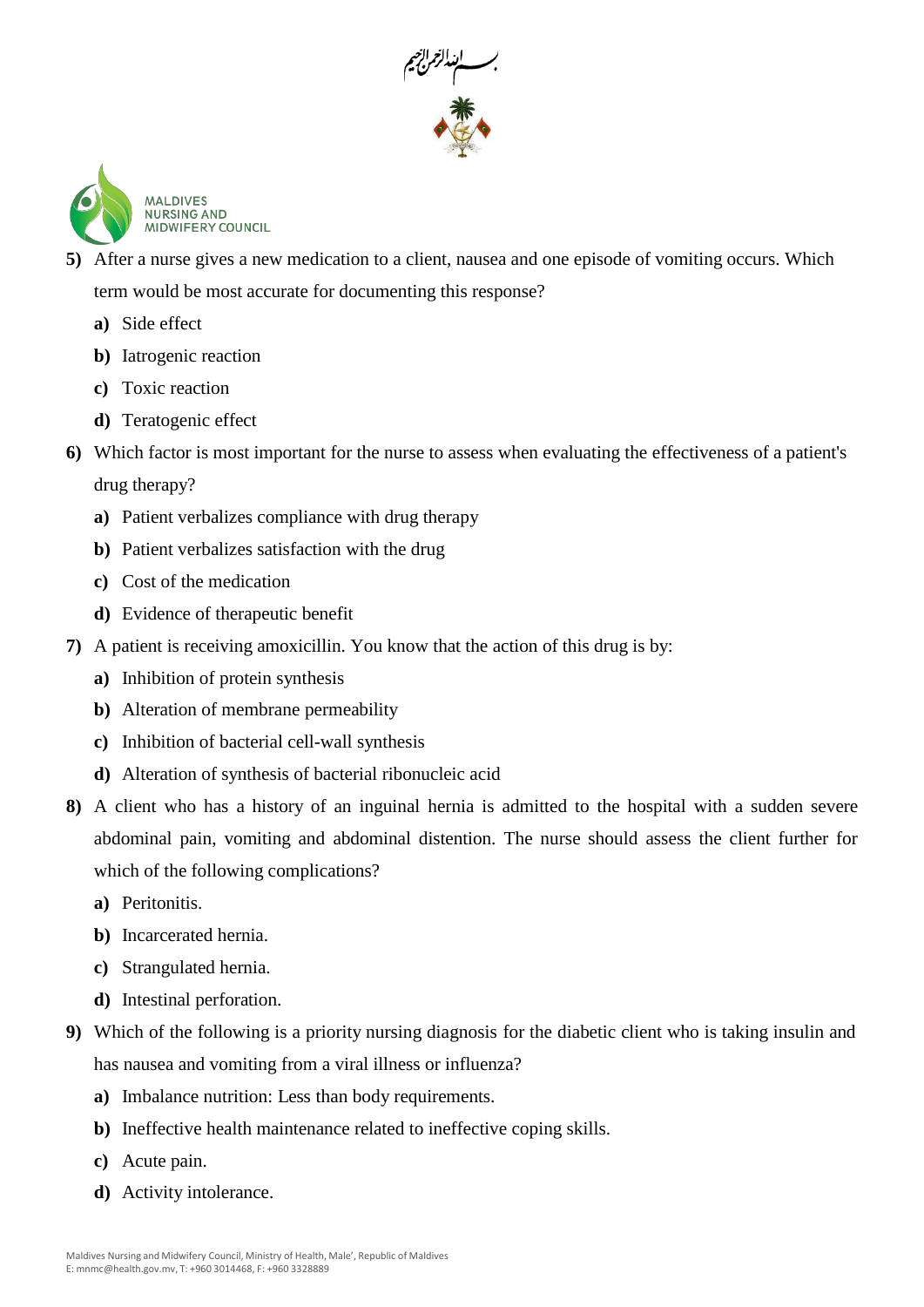



- **5)** After a nurse gives a new medication to a client, nausea and one episode of vomiting occurs. Which term would be most accurate for documenting this response?
	- **a)** Side effect
	- **b)** Iatrogenic reaction
	- **c)** Toxic reaction
	- **d)** Teratogenic effect
- **6)** Which factor is most important for the nurse to assess when evaluating the effectiveness of a patient's drug therapy?
	- **a)** Patient verbalizes compliance with drug therapy
	- **b)** Patient verbalizes satisfaction with the drug
	- **c)** Cost of the medication
	- **d)** Evidence of therapeutic benefit
- **7)** A patient is receiving amoxicillin. You know that the action of this drug is by:
	- **a)** Inhibition of protein synthesis
	- **b)** Alteration of membrane permeability
	- **c)** Inhibition of bacterial cell-wall synthesis
	- **d)** Alteration of synthesis of bacterial ribonucleic acid
- **8)** A client who has a history of an inguinal hernia is admitted to the hospital with a sudden severe abdominal pain, vomiting and abdominal distention. The nurse should assess the client further for which of the following complications?
	- **a)** Peritonitis.
	- **b)** Incarcerated hernia.
	- **c)** Strangulated hernia.
	- **d)** Intestinal perforation.
- **9)** Which of the following is a priority nursing diagnosis for the diabetic client who is taking insulin and has nausea and vomiting from a viral illness or influenza?
	- **a)** Imbalance nutrition: Less than body requirements.
	- **b)** Ineffective health maintenance related to ineffective coping skills.
	- **c)** Acute pain.
	- **d)** Activity intolerance.